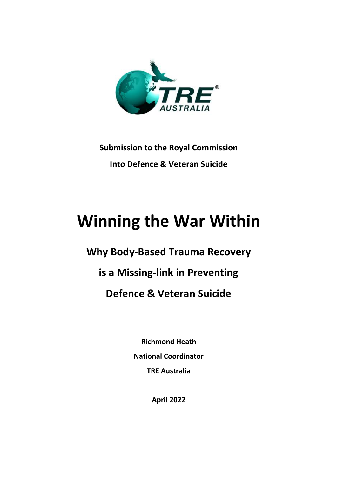

**Submission to the Royal Commission Into Defence & Veteran Suicide**

# **Winning the War Within**

**Why Body-Based Trauma Recovery is a Missing-link in Preventing Defence & Veteran Suicide**

> **Richmond Heath National Coordinator TRE Australia**

> > **April 2022**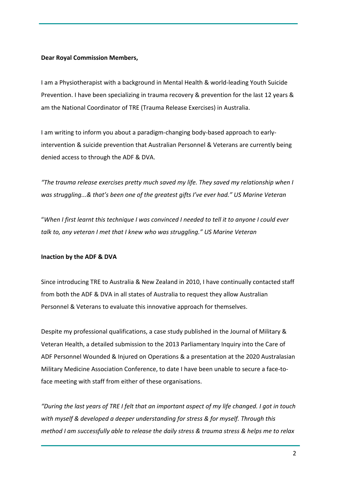### **Dear Royal Commission Members,**

I am a Physiotherapist with a background in Mental Health & world-leading Youth Suicide Prevention. I have been specializing in trauma recovery & prevention for the last 12 years & am the National Coordinator of TRE (Trauma Release Exercises) in Australia.

I am writing to inform you about a paradigm-changing body-based approach to earlyintervention & suicide prevention that Australian Personnel & Veterans are currently being denied access to through the ADF & DVA.

*"The trauma release exercises pretty much saved my life. They saved my relationship when I was struggling...& that's been one of the greatest gifts I've ever had." US Marine Veteran*

"*When I first learnt this technique I was convinced I needed to tell it to anyone I could ever talk to, any veteran I met that I knew who was struggling." US Marine Veteran*

# **Inaction by the ADF & DVA**

Since introducing TRE to Australia & New Zealand in 2010, I have continually contacted staff from both the ADF & DVA in all states of Australia to request they allow Australian Personnel & Veterans to evaluate this innovative approach for themselves.

Despite my professional qualifications, a case study published in the Journal of Military & Veteran Health, a detailed submission to the 2013 Parliamentary Inquiry into the Care of ADF Personnel Wounded & Injured on Operations & a presentation at the 2020 Australasian Military Medicine Association Conference, to date I have been unable to secure a face-toface meeting with staff from either of these organisations.

*"During the last years of TRE I felt that an important aspect of my life changed. I got in touch with myself & developed a deeper understanding for stress & for myself. Through this method I am successfully able to release the daily stress & trauma stress & helps me to relax*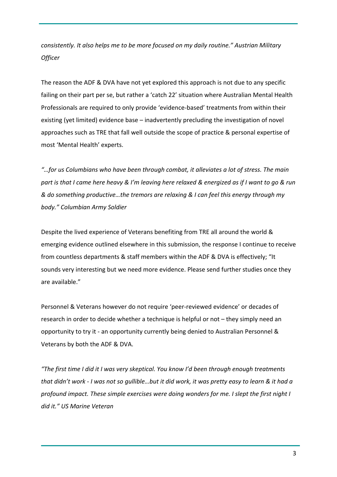*consistently. It also helps me to be more focused on my daily routine." Austrian Military Officer*

The reason the ADF & DVA have not yet explored this approach is not due to any specific failing on their part per se, but rather a 'catch 22' situation where Australian Mental Health Professionals are required to only provide 'evidence-based' treatments from within their existing (yet limited) evidence base – inadvertently precluding the investigation of novel approaches such as TRE that fall well outside the scope of practice & personal expertise of most 'Mental Health' experts.

*"…for us Columbians who have been through combat, it alleviates a lot of stress. The main part is that I came here heavy & I'm leaving here relaxed & energized as if I want to go & run & do something productive…the tremors are relaxing & I can feel this energy through my body." Columbian Army Soldier*

Despite the lived experience of Veterans benefiting from TRE all around the world & emerging evidence outlined elsewhere in this submission, the response I continue to receive from countless departments & staff members within the ADF & DVA is effectively; "It sounds very interesting but we need more evidence. Please send further studies once they are available."

Personnel & Veterans however do not require 'peer-reviewed evidence' or decades of research in order to decide whether a technique is helpful or not – they simply need an opportunity to try it - an opportunity currently being denied to Australian Personnel & Veterans by both the ADF & DVA.

*"The first time I did it I was very skeptical. You know I'd been through enough treatments that didn't work - I was not so gullible…but it did work, it was pretty easy to learn & it had a profound impact. These simple exercises were doing wonders for me. I slept the first night I did it." US Marine Veteran*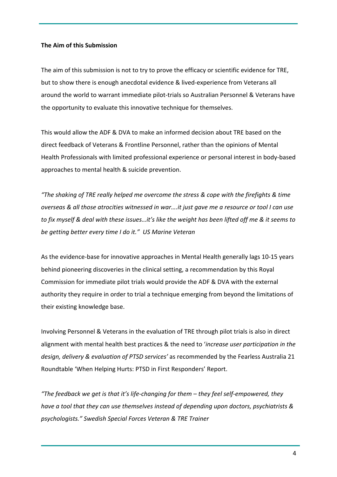#### **The Aim of this Submission**

The aim of this submission is not to try to prove the efficacy or scientific evidence for TRE, but to show there is enough anecdotal evidence & lived-experience from Veterans all around the world to warrant immediate pilot-trials so Australian Personnel & Veterans have the opportunity to evaluate this innovative technique for themselves.

This would allow the ADF & DVA to make an informed decision about TRE based on the direct feedback of Veterans & Frontline Personnel, rather than the opinions of Mental Health Professionals with limited professional experience or personal interest in body-based approaches to mental health & suicide prevention.

*"The shaking of TRE really helped me overcome the stress & cope with the firefights & time overseas & all those atrocities witnessed in war….it just gave me a resource or tool I can use to fix myself & deal with these issues…it's like the weight has been lifted off me & it seems to be getting better every time I do it." US Marine Veteran*

As the evidence-base for innovative approaches in Mental Health generally lags 10-15 years behind pioneering discoveries in the clinical setting, a recommendation by this Royal Commission for immediate pilot trials would provide the ADF & DVA with the external authority they require in order to trial a technique emerging from beyond the limitations of their existing knowledge base.

Involving Personnel & Veterans in the evaluation of TRE through pilot trials is also in direct alignment with mental health best practices & the need to '*increase user participation in the design, delivery & evaluation of PTSD services'* as recommended by the Fearless Australia 21 Roundtable 'When Helping Hurts: PTSD in First Responders' Report.

*"The feedback we get is that it's life-changing for them – they feel self-empowered, they have a tool that they can use themselves instead of depending upon doctors, psychiatrists & psychologists." Swedish Special Forces Veteran & TRE Trainer*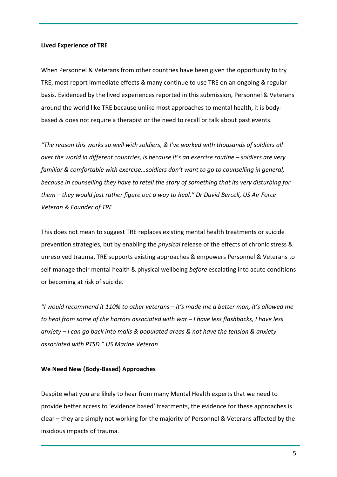#### **Lived Experience of TRE**

When Personnel & Veterans from other countries have been given the opportunity to try TRE, most report immediate effects & many continue to use TRE on an ongoing & regular basis. Evidenced by the lived experiences reported in this submission, Personnel & Veterans around the world like TRE because unlike most approaches to mental health, it is bodybased & does not require a therapist or the need to recall or talk about past events.

*"The reason this works so well with soldiers, & I've worked with thousands of soldiers all over the world in different countries, is because it's an exercise routine – soldiers are very familiar & comfortable with exercise…soldiers don't want to go to counselling in general, because in counselling they have to retell the story of something that its very disturbing for them – they would just rather figure out a way to heal." Dr David Berceli, US Air Force Veteran & Founder of TRE*

This does not mean to suggest TRE replaces existing mental health treatments or suicide prevention strategies, but by enabling the *physical* release of the effects of chronic stress & unresolved trauma, TRE supports existing approaches & empowers Personnel & Veterans to self-manage their mental health & physical wellbeing *before* escalating into acute conditions or becoming at risk of suicide.

*"I would recommend it 110% to other veterans – it's made me a better man, it's allowed me to heal from some of the horrors associated with war – I have less flashbacks, I have less anxiety – I can go back into malls & populated areas & not have the tension & anxiety associated with PTSD." US Marine Veteran*

#### **We Need New (Body-Based) Approaches**

Despite what you are likely to hear from many Mental Health experts that we need to provide better access to 'evidence based' treatments, the evidence for these approaches is clear – they are simply not working for the majority of Personnel & Veterans affected by the insidious impacts of trauma.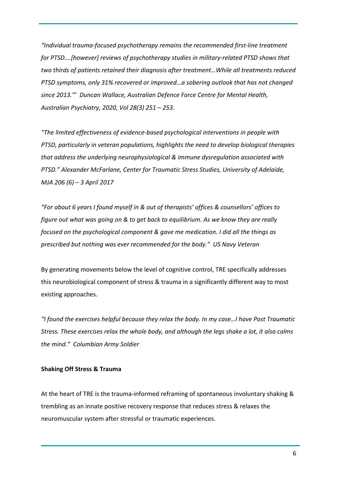*"Individual trauma-focused psychotherapy remains the recommended first-line treatment for PTSD….[however] reviews of psychotherapy studies in military-related PTSD shows that two thirds of patients retained their diagnosis after treatment…While all treatments reduced PTSD symptoms, only 31% recovered or improved…a sobering outlook that has not changed since 2013."' Duncan Wallace, Australian Defence Force Centre for Mental Health, Australian Psychiatry, 2020, Vol 28(3) 251 – 253.*

*"The limited effectiveness of evidence-based psychological interventions in people with PTSD, particularly in veteran populations, highlights the need to develop biological therapies that address the underlying neurophysiological & immune dysregulation associated with PTSD." Alexander McFarlane, Center for Traumatic Stress Studies, University of Adelaide, MJA 206 (6) – 3 April 2017*

*"For about 6 years I found myself in & out of therapists' offices & counsellors' offices to figure out what was going on & to get back to equilibrium. As we know they are really focused on the psychological component & gave me medication. I did all the things as prescribed but nothing was ever recommended for the body." US Navy Veteran*

By generating movements below the level of cognitive control, TRE specifically addresses this neurobiological component of stress & trauma in a significantly different way to most existing approaches.

*"I found the exercises helpful because they relax the body. In my case…I have Post Traumatic Stress. These exercises relax the whole body, and although the legs shake a lot, it also calms the mind." Columbian Army Soldier*

#### **Shaking Off Stress & Trauma**

At the heart of TRE is the trauma-informed reframing of spontaneous involuntary shaking & trembling as an innate positive recovery response that reduces stress & relaxes the neuromuscular system after stressful or traumatic experiences.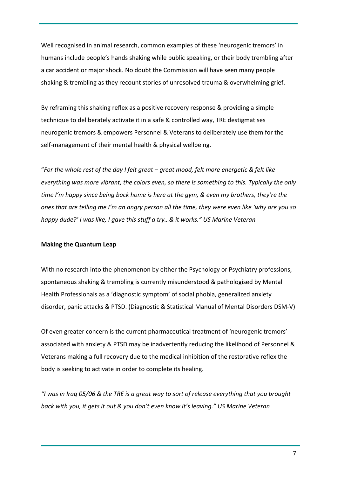Well recognised in animal research, common examples of these 'neurogenic tremors' in humans include people's hands shaking while public speaking, or their body trembling after a car accident or major shock. No doubt the Commission will have seen many people shaking & trembling as they recount stories of unresolved trauma & overwhelming grief.

By reframing this shaking reflex as a positive recovery response & providing a simple technique to deliberately activate it in a safe & controlled way, TRE destigmatises neurogenic tremors & empowers Personnel & Veterans to deliberately use them for the self-management of their mental health & physical wellbeing.

"*For the whole rest of the day I felt great – great mood, felt more energetic & felt like everything was more vibrant, the colors even, so there is something to this. Typically the only time I'm happy since being back home is here at the gym, & even my brothers, they're the ones that are telling me I'm an angry person all the time, they were even like 'why are you so happy dude?' I was like, I gave this stuff a try…& it works." US Marine Veteran*

#### **Making the Quantum Leap**

With no research into the phenomenon by either the Psychology or Psychiatry professions, spontaneous shaking & trembling is currently misunderstood & pathologised by Mental Health Professionals as a 'diagnostic symptom' of social phobia, generalized anxiety disorder, panic attacks & PTSD. (Diagnostic & Statistical Manual of Mental Disorders DSM-V)

Of even greater concern is the current pharmaceutical treatment of 'neurogenic tremors' associated with anxiety & PTSD may be inadvertently reducing the likelihood of Personnel & Veterans making a full recovery due to the medical inhibition of the restorative reflex the body is seeking to activate in order to complete its healing.

*"I was in Iraq 05/06 & the TRE is a great way to sort of release everything that you brought back with you, it gets it out & you don't even know it's leaving." US Marine Veteran*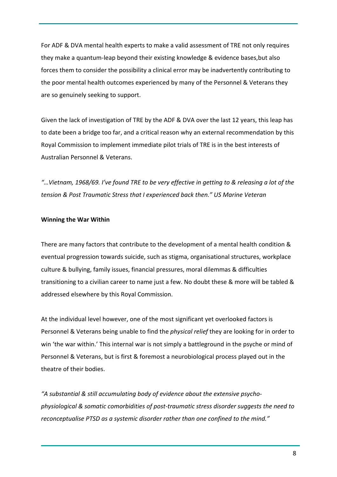For ADF & DVA mental health experts to make a valid assessment of TRE not only requires they make a quantum-leap beyond their existing knowledge & evidence bases,but also forces them to consider the possibility a clinical error may be inadvertently contributing to the poor mental health outcomes experienced by many of the Personnel & Veterans they are so genuinely seeking to support.

Given the lack of investigation of TRE by the ADF & DVA over the last 12 years, this leap has to date been a bridge too far, and a critical reason why an external recommendation by this Royal Commission to implement immediate pilot trials of TRE is in the best interests of Australian Personnel & Veterans.

*"…Vietnam, 1968/69. I've found TRE to be very effective in getting to & releasing a lot of the tension & Post Traumatic Stress that I experienced back then." US Marine Veteran*

#### **Winning the War Within**

There are many factors that contribute to the development of a mental health condition & eventual progression towards suicide, such as stigma, organisational structures, workplace culture & bullying, family issues, financial pressures, moral dilemmas & difficulties transitioning to a civilian career to name just a few. No doubt these & more will be tabled & addressed elsewhere by this Royal Commission.

At the individual level however, one of the most significant yet overlooked factors is Personnel & Veterans being unable to find the *physical relief* they are looking for in order to win 'the war within.' This internal war is not simply a battleground in the psyche or mind of Personnel & Veterans, but is first & foremost a neurobiological process played out in the theatre of their bodies.

*"A substantial & still accumulating body of evidence about the extensive psychophysiological & somatic comorbidities of post-traumatic stress disorder suggests the need to reconceptualise PTSD as a systemic disorder rather than one confined to the mind."*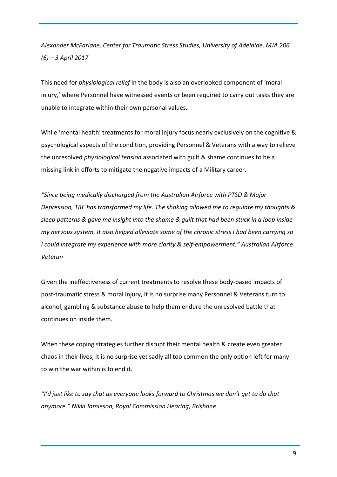*Alexander McFarlane, Center for Traumatic Stress Studies, University of Adelaide, MJA 206 (6) – 3 April 2017*

This need for *physiological relief* in the body is also an overlooked component of 'moral injury,' where Personnel have witnessed events or been required to carry out tasks they are unable to integrate within their own personal values.

While 'mental health' treatments for moral injury focus nearly exclusively on the cognitive & psychological aspects of the condition, providing Personnel & Veterans with a way to relieve the unresolved *physiological tension* associated with guilt & shame continues to be a missing link in efforts to mitigate the negative impacts of a Military career.

*"Since being medically discharged from the Australian Airforce with PTSD & Major Depression, TRE has transformed my life. The shaking allowed me to regulate my thoughts & sleep patterns & gave me insight into the shame & guilt that had been stuck in a loop inside my nervous system. It also helped alleviate some of the chronic stress I had been carrying so I could integrate my experience with more clarity & self-empowerment." Australian Airforce Veteran*

Given the ineffectiveness of current treatments to resolve these body-based impacts of post-traumatic stress & moral injury, it is no surprise many Personnel & Veterans turn to alcohol, gambling & substance abuse to help them endure the unresolved battle that continues on inside them.

When these coping strategies further disrupt their mental health & create even greater chaos in their lives, it is no surprise yet sadly all too common the only option left for many to win the war within is to end it.

*"I'd just like to say that as everyone looks forward to Christmas we don't get to do that anymore." Nikki Jamieson, Royal Commission Hearing, Brisbane*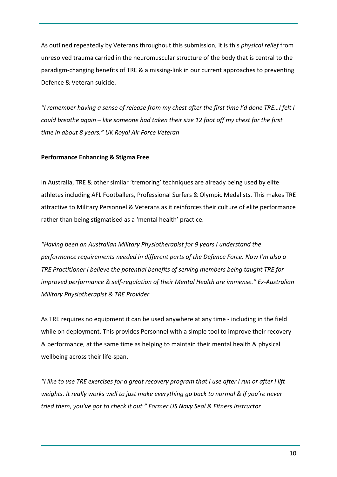As outlined repeatedly by Veterans throughout this submission, it is this *physical relief* from unresolved trauma carried in the neuromuscular structure of the body that is central to the paradigm-changing benefits of TRE & a missing-link in our current approaches to preventing Defence & Veteran suicide.

*"I remember having a sense of release from my chest after the first time I'd done TRE…I felt I could breathe again – like someone had taken their size 12 foot off my chest for the first time in about 8 years." UK Royal Air Force Veteran*

# **Performance Enhancing & Stigma Free**

In Australia, TRE & other similar 'tremoring' techniques are already being used by elite athletes including AFL Footballers, Professional Surfers & Olympic Medalists. This makes TRE attractive to Military Personnel & Veterans as it reinforces their culture of elite performance rather than being stigmatised as a 'mental health' practice.

*"Having been an Australian Military Physiotherapist for 9 years I understand the performance requirements needed in different parts of the Defence Force. Now I'm also a TRE Practitioner I believe the potential benefits of serving members being taught TRE for improved performance & self-regulation of their Mental Health are immense." Ex-Australian Military Physiotherapist & TRE Provider*

As TRE requires no equipment it can be used anywhere at any time - including in the field while on deployment. This provides Personnel with a simple tool to improve their recovery & performance, at the same time as helping to maintain their mental health & physical wellbeing across their life-span.

*"I like to use TRE exercises for a great recovery program that I use after I run or after I lift weights. It really works well to just make everything go back to normal & if you're never tried them, you've got to check it out." Former US Navy Seal & Fitness Instructor*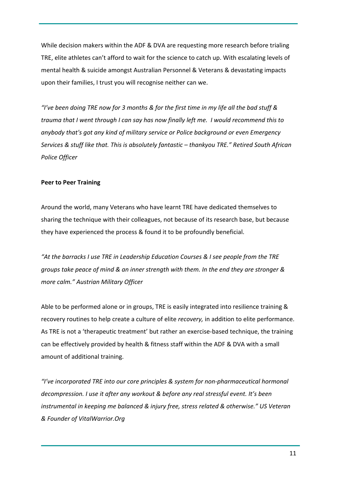While decision makers within the ADF & DVA are requesting more research before trialing TRE, elite athletes can't afford to wait for the science to catch up. With escalating levels of mental health & suicide amongst Australian Personnel & Veterans & devastating impacts upon their families, I trust you will recognise neither can we.

*"I've been doing TRE now for 3 months & for the first time in my life all the bad stuff & trauma that I went through I can say has now finally left me. I would recommend this to anybody that's got any kind of military service or Police background or even Emergency Services & stuff like that. This is absolutely fantastic – thankyou TRE." Retired South African Police Officer*

# **Peer to Peer Training**

Around the world, many Veterans who have learnt TRE have dedicated themselves to sharing the technique with their colleagues, not because of its research base, but because they have experienced the process & found it to be profoundly beneficial.

*"At the barracks I use TRE in Leadership Education Courses & I see people from the TRE groups take peace of mind & an inner strength with them. In the end they are stronger & more calm." Austrian Military Officer*

Able to be performed alone or in groups, TRE is easily integrated into resilience training & recovery routines to help create a culture of elite *recovery,* in addition to elite performance. As TRE is not a 'therapeutic treatment' but rather an exercise-based technique, the training can be effectively provided by health & fitness staff within the ADF & DVA with a small amount of additional training.

*"I've incorporated TRE into our core principles & system for non-pharmaceutical hormonal decompression. I use it after any workout & before any real stressful event. It's been instrumental in keeping me balanced & injury free, stress related & otherwise." US Veteran & Founder of VitalWarrior.Org*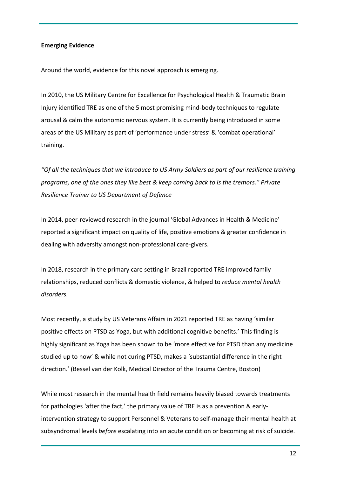# **Emerging Evidence**

Around the world, evidence for this novel approach is emerging.

In 2010, the US Military Centre for Excellence for Psychological Health & Traumatic Brain Injury identified TRE as one of the 5 most promising mind-body techniques to regulate arousal & calm the autonomic nervous system. It is currently being introduced in some areas of the US Military as part of 'performance under stress' & 'combat operational' training.

*"Of all the techniques that we introduce to US Army Soldiers as part of our resilience training programs, one of the ones they like best & keep coming back to is the tremors." Private Resilience Trainer to US Department of Defence*

In 2014, peer-reviewed research in the journal 'Global Advances in Health & Medicine' reported a significant impact on quality of life, positive emotions & greater confidence in dealing with adversity amongst non-professional care-givers.

In 2018, research in the primary care setting in Brazil reported TRE improved family relationships, reduced conflicts & domestic violence, & helped to *reduce mental health disorders.*

Most recently, a study by US Veterans Affairs in 2021 reported TRE as having 'similar positive effects on PTSD as Yoga, but with additional cognitive benefits.' This finding is highly significant as Yoga has been shown to be 'more effective for PTSD than any medicine studied up to now' & while not curing PTSD, makes a 'substantial difference in the right direction.' (Bessel van der Kolk, Medical Director of the Trauma Centre, Boston)

While most research in the mental health field remains heavily biased towards treatments for pathologies 'after the fact,' the primary value of TRE is as a prevention & earlyintervention strategy to support Personnel & Veterans to self-manage their mental health at subsyndromal levels *before* escalating into an acute condition or becoming at risk of suicide.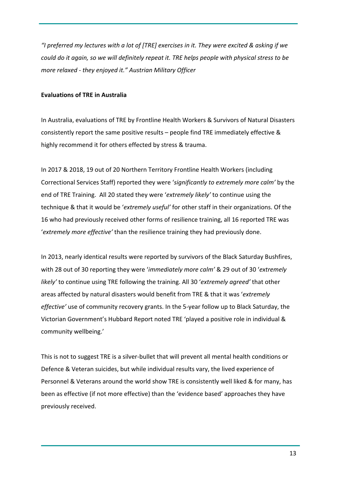*"I preferred my lectures with a lot of [TRE] exercises in it. They were excited & asking if we could do it again, so we will definitely repeat it. TRE helps people with physical stress to be more relaxed - they enjoyed it." Austrian Military Officer*

# **Evaluations of TRE in Australia**

In Australia, evaluations of TRE by Frontline Health Workers & Survivors of Natural Disasters consistently report the same positive results – people find TRE immediately effective & highly recommend it for others effected by stress & trauma.

In 2017 & 2018, 19 out of 20 Northern Territory Frontline Health Workers (including Correctional Services Staff) reported they were '*significantly to extremely more calm'* by the end of TRE Training. All 20 stated they were '*extremely likely'* to continue using the technique & that it would be '*extremely useful'* for other staff in their organizations. Of the 16 who had previously received other forms of resilience training, all 16 reported TRE was '*extremely more effective'* than the resilience training they had previously done.

In 2013, nearly identical results were reported by survivors of the Black Saturday Bushfires, with 28 out of 30 reporting they were '*immediately more calm'* & 29 out of 30 '*extremely likely'* to continue using TRE following the training. All 30 '*extremely agreed'* that other areas affected by natural disasters would benefit from TRE & that it was '*extremely effective'* use of community recovery grants. In the 5-year follow up to Black Saturday, the Victorian Government's Hubbard Report noted TRE 'played a positive role in individual & community wellbeing.'

This is not to suggest TRE is a silver-bullet that will prevent all mental health conditions or Defence & Veteran suicides, but while individual results vary, the lived experience of Personnel & Veterans around the world show TRE is consistently well liked & for many, has been as effective (if not more effective) than the 'evidence based' approaches they have previously received.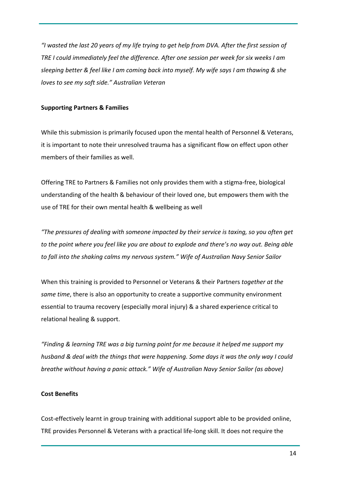*"I wasted the last 20 years of my life trying to get help from DVA. After the first session of TRE I could immediately feel the difference. After one session per week for six weeks I am sleeping better & feel like I am coming back into myself. My wife says I am thawing & she loves to see my soft side." Australian Veteran*

## **Supporting Partners & Families**

While this submission is primarily focused upon the mental health of Personnel & Veterans, it is important to note their unresolved trauma has a significant flow on effect upon other members of their families as well.

Offering TRE to Partners & Families not only provides them with a stigma-free, biological understanding of the health & behaviour of their loved one, but empowers them with the use of TRE for their own mental health & wellbeing as well

*"The pressures of dealing with someone impacted by their service is taxing, so you often get to the point where you feel like you are about to explode and there's no way out. Being able to fall into the shaking calms my nervous system." Wife of Australian Navy Senior Sailor*

When this training is provided to Personnel or Veterans & their Partners *together at the same time*, there is also an opportunity to create a supportive community environment essential to trauma recovery (especially moral injury) & a shared experience critical to relational healing & support.

*"Finding & learning TRE was a big turning point for me because it helped me support my husband & deal with the things that were happening. Some days it was the only way I could breathe without having a panic attack." Wife of Australian Navy Senior Sailor (as above)*

# **Cost Benefits**

Cost-effectively learnt in group training with additional support able to be provided online, TRE provides Personnel & Veterans with a practical life-long skill. It does not require the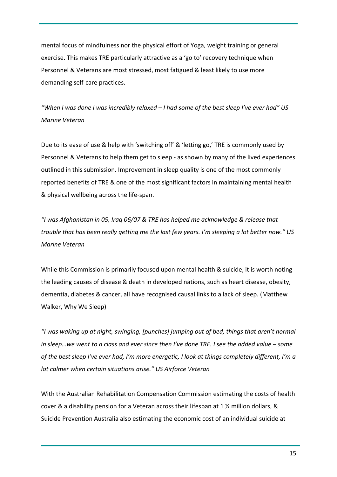mental focus of mindfulness nor the physical effort of Yoga, weight training or general exercise. This makes TRE particularly attractive as a 'go to' recovery technique when Personnel & Veterans are most stressed, most fatigued & least likely to use more demanding self-care practices.

*"When I was done I was incredibly relaxed – I had some of the best sleep I've ever had" US Marine Veteran*

Due to its ease of use & help with 'switching off' & 'letting go,' TRE is commonly used by Personnel & Veterans to help them get to sleep - as shown by many of the lived experiences outlined in this submission. Improvement in sleep quality is one of the most commonly reported benefits of TRE & one of the most significant factors in maintaining mental health & physical wellbeing across the life-span.

*"I was Afghanistan in 05, Iraq 06/07 & TRE has helped me acknowledge & release that trouble that has been really getting me the last few years. I'm sleeping a lot better now." US Marine Veteran*

While this Commission is primarily focused upon mental health & suicide, it is worth noting the leading causes of disease & death in developed nations, such as heart disease, obesity, dementia, diabetes & cancer, all have recognised causal links to a lack of sleep. (Matthew Walker, Why We Sleep)

*"I was waking up at night, swinging, [punches] jumping out of bed, things that aren't normal in sleep…we went to a class and ever since then I've done TRE. I see the added value – some of the best sleep I've ever had, I'm more energetic, I look at things completely different, I'm a lot calmer when certain situations arise." US Airforce Veteran*

With the Australian Rehabilitation Compensation Commission estimating the costs of health cover & a disability pension for a Veteran across their lifespan at 1 ½ million dollars, & Suicide Prevention Australia also estimating the economic cost of an individual suicide at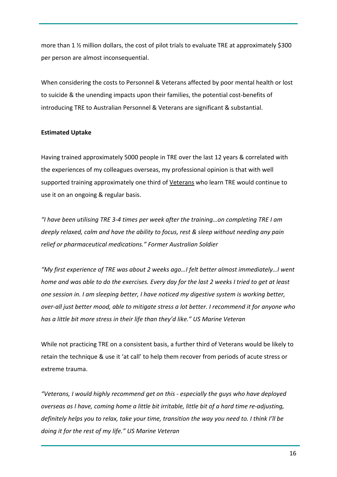more than 1 ½ million dollars, the cost of pilot trials to evaluate TRE at approximately \$300 per person are almost inconsequential.

When considering the costs to Personnel & Veterans affected by poor mental health or lost to suicide & the unending impacts upon their families, the potential cost-benefits of introducing TRE to Australian Personnel & Veterans are significant & substantial.

# **Estimated Uptake**

Having trained approximately 5000 people in TRE over the last 12 years & correlated with the experiences of my colleagues overseas, my professional opinion is that with well supported training approximately one third of Veterans who learn TRE would continue to use it on an ongoing & regular basis.

*"I have been utilising TRE 3-4 times per week after the training…on completing TRE I am deeply relaxed, calm and have the ability to focus, rest & sleep without needing any pain relief or pharmaceutical medications." Former Australian Soldier*

*"My first experience of TRE was about 2 weeks ago…I felt better almost immediately…I went home and was able to do the exercises. Every day for the last 2 weeks I tried to get at least one session in. I am sleeping better, I have noticed my digestive system is working better, over-all just better mood, able to mitigate stress a lot better. I recommend it for anyone who has a little bit more stress in their life than they'd like." US Marine Veteran*

While not practicing TRE on a consistent basis, a further third of Veterans would be likely to retain the technique & use it 'at call' to help them recover from periods of acute stress or extreme trauma.

*"Veterans, I would highly recommend get on this - especially the guys who have deployed overseas as I have, coming home a little bit irritable, little bit of a hard time re-adjusting, definitely helps you to relax, take your time, transition the way you need to. I think I'll be doing it for the rest of my life." US Marine Veteran*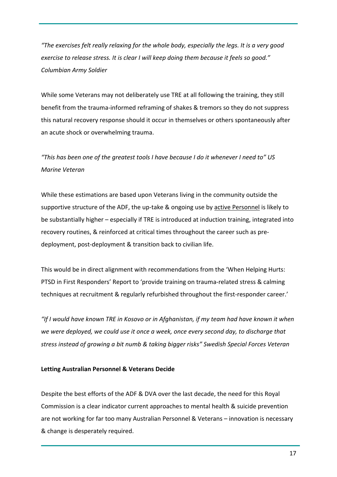*"The exercises felt really relaxing for the whole body, especially the legs. It is a very good exercise to release stress. It is clear I will keep doing them because it feels so good." Columbian Army Soldier*

While some Veterans may not deliberately use TRE at all following the training, they still benefit from the trauma-informed reframing of shakes & tremors so they do not suppress this natural recovery response should it occur in themselves or others spontaneously after an acute shock or overwhelming trauma.

*"This has been one of the greatest tools I have because I do it whenever I need to" US Marine Veteran*

While these estimations are based upon Veterans living in the community outside the supportive structure of the ADF, the up-take & ongoing use by active Personnel is likely to be substantially higher – especially if TRE is introduced at induction training, integrated into recovery routines, & reinforced at critical times throughout the career such as predeployment, post-deployment & transition back to civilian life.

This would be in direct alignment with recommendations from the 'When Helping Hurts: PTSD in First Responders' Report to 'provide training on trauma-related stress & calming techniques at recruitment & regularly refurbished throughout the first-responder career.'

*"If I would have known TRE in Kosovo or in Afghanistan, if my team had have known it when we were deployed, we could use it once a week, once every second day, to discharge that stress instead of growing a bit numb & taking bigger risks" Swedish Special Forces Veteran*

#### **Letting Australian Personnel & Veterans Decide**

Despite the best efforts of the ADF & DVA over the last decade, the need for this Royal Commission is a clear indicator current approaches to mental health & suicide prevention are not working for far too many Australian Personnel & Veterans – innovation is necessary & change is desperately required.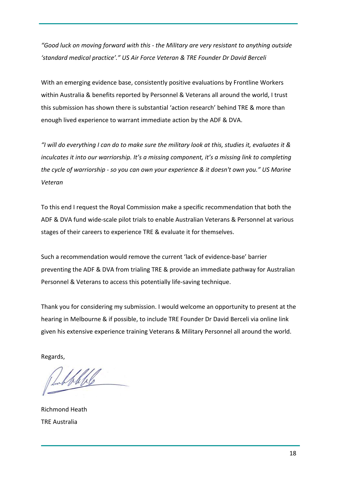*"Good luck on moving forward with this - the Military are very resistant to anything outside 'standard medical practice'." US Air Force Veteran & TRE Founder Dr David Berceli*

With an emerging evidence base, consistently positive evaluations by Frontline Workers within Australia & benefits reported by Personnel & Veterans all around the world, I trust this submission has shown there is substantial 'action research' behind TRE & more than enough lived experience to warrant immediate action by the ADF & DVA.

*"I will do everything I can do to make sure the military look at this, studies it, evaluates it & inculcates it into our warriorship. It's a missing component, it's a missing link to completing the cycle of warriorship - so you can own your experience & it doesn't own you." US Marine Veteran*

To this end I request the Royal Commission make a specific recommendation that both the ADF & DVA fund wide-scale pilot trials to enable Australian Veterans & Personnel at various stages of their careers to experience TRE & evaluate it for themselves.

Such a recommendation would remove the current 'lack of evidence-base' barrier preventing the ADF & DVA from trialing TRE & provide an immediate pathway for Australian Personnel & Veterans to access this potentially life-saving technique.

Thank you for considering my submission. I would welcome an opportunity to present at the hearing in Melbourne & if possible, to include TRE Founder Dr David Berceli via online link given his extensive experience training Veterans & Military Personnel all around the world.

Regards,

bable

Richmond Heath TRE Australia